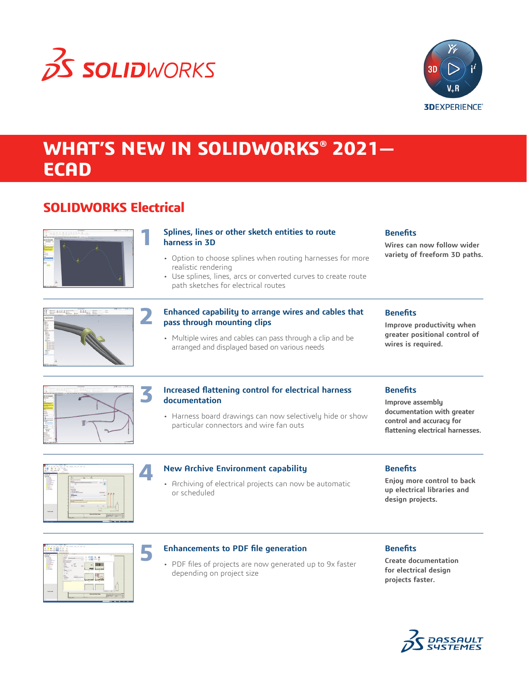



## **WHAT'S NEW IN SOLIDWORKS® 2021— ECAD**

## **SOLIDWORKS Electrical**



#### **Splines, lines or other sketch entities to route harness in 3D**

- Option to choose splines when routing harnesses for more realistic rendering
- Use splines, lines, arcs or converted curves to create route path sketches for electrical routes

### **Benefits**

**Wires can now follow wider variety of freeform 3D paths.**



#### **Enhanced capability to arrange wires and cables that pass through mounting clips**

• Multiple wires and cables can pass through a clip and be arranged and displayed based on various needs

#### **Benefits**

**Improve productivity when greater positional control of wires is required.**



#### **Increased flattening control for electrical harness documentation**

• Harness board drawings can now selectively hide or show particular connectors and wire fan outs

#### **Benefits**

**Improve assembly documentation with greater control and accuracy for flattening electrical harnesses.**



#### **New Archive Environment capability**

• Archiving of electrical projects can now be automatic or scheduled

#### **Benefits**

**Enjoy more control to back up electrical libraries and design projects.**

| <b>Purse</b> #                                                                                                                                                                | The boom referenties of                                                                                                                                                                                               |            |
|-------------------------------------------------------------------------------------------------------------------------------------------------------------------------------|-----------------------------------------------------------------------------------------------------------------------------------------------------------------------------------------------------------------------|------------|
| <b>Taxata</b><br><b>A</b> Lincoln by<br>5.5 p.m.<br><b>BERNET</b><br><b><i>Changed Company</i></b><br><b>Six American Street</b><br>A.A. Auctioners<br><b><i>MANDROOM</i></b> | <b>Lincolnum</b><br><b>Self No</b><br>x<br>before personal property<br>house, or home school them<br>men.<br><b>STATE ALL STATE</b><br>÷<br>÷<br>τ<br>÷<br><b>Distances</b><br><b><i><u>President Address</u></i></b> | $-8.4$     |
| <b>CONTRACTOR</b><br><b>Barana</b><br><b><i><u>All American</u></i></b><br>11.00<br><b>Billiannia</b><br>1.07<br>1.111<br><b>A Distances</b>                                  | $\sim$<br><b>Service</b><br>$\sim$<br><b>Think</b><br><b>But</b><br>8 Sept.<br><b>Bana</b><br>Charles<br>- 77<br>$\sim$                                                                                               |            |
|                                                                                                                                                                               | <b>NAME</b><br>×<br>$m$ and<br><b>COLLEGE</b><br>State 1<br><b>Services</b><br>Echeng,                                                                                                                                |            |
|                                                                                                                                                                               | -<br><b>Chicago</b><br><b>Country</b><br>A Miller<br><b>CONTRACTOR</b><br>٠                                                                                                                                           | ÷          |
|                                                                                                                                                                               |                                                                                                                                                                                                                       | ٠<br>٠<br> |

**5**

#### **Enhancements to PDF file generation**

• PDF files of projects are now generated up to 9x faster depending on project size

#### **Benefits**

**Create documentation for electrical design projects faster.**